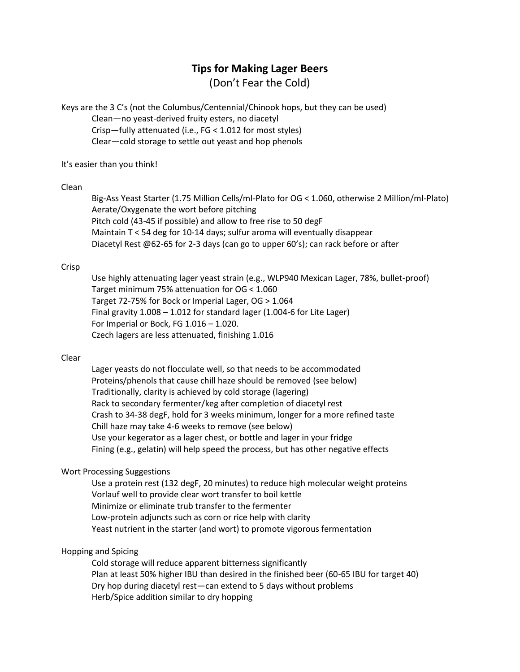# **Tips for Making Lager Beers** (Don't Fear the Cold)

Keys are the 3 C's (not the Columbus/Centennial/Chinook hops, but they can be used) Clean—no yeast-derived fruity esters, no diacetyl Crisp—fully attenuated (i.e., FG < 1.012 for most styles) Clear—cold storage to settle out yeast and hop phenols

### It's easier than you think!

## Clean

Big-Ass Yeast Starter (1.75 Million Cells/ml-Plato for OG < 1.060, otherwise 2 Million/ml-Plato) Aerate/Oxygenate the wort before pitching Pitch cold (43-45 if possible) and allow to free rise to 50 degF Maintain T < 54 deg for 10-14 days; sulfur aroma will eventually disappear Diacetyl Rest @62-65 for 2-3 days (can go to upper 60's); can rack before or after

## Crisp

Use highly attenuating lager yeast strain (e.g., WLP940 Mexican Lager, 78%, bullet-proof) Target minimum 75% attenuation for OG < 1.060 Target 72-75% for Bock or Imperial Lager, OG > 1.064 Final gravity 1.008 – 1.012 for standard lager (1.004-6 for Lite Lager) For Imperial or Bock, FG 1.016 – 1.020. Czech lagers are less attenuated, finishing 1.016

# Clear

Lager yeasts do not flocculate well, so that needs to be accommodated Proteins/phenols that cause chill haze should be removed (see below) Traditionally, clarity is achieved by cold storage (lagering) Rack to secondary fermenter/keg after completion of diacetyl rest Crash to 34-38 degF, hold for 3 weeks minimum, longer for a more refined taste Chill haze may take 4-6 weeks to remove (see below) Use your kegerator as a lager chest, or bottle and lager in your fridge Fining (e.g., gelatin) will help speed the process, but has other negative effects

# Wort Processing Suggestions

Use a protein rest (132 degF, 20 minutes) to reduce high molecular weight proteins Vorlauf well to provide clear wort transfer to boil kettle Minimize or eliminate trub transfer to the fermenter Low-protein adjuncts such as corn or rice help with clarity Yeast nutrient in the starter (and wort) to promote vigorous fermentation

# Hopping and Spicing

Cold storage will reduce apparent bitterness significantly Plan at least 50% higher IBU than desired in the finished beer (60-65 IBU for target 40) Dry hop during diacetyl rest—can extend to 5 days without problems Herb/Spice addition similar to dry hopping